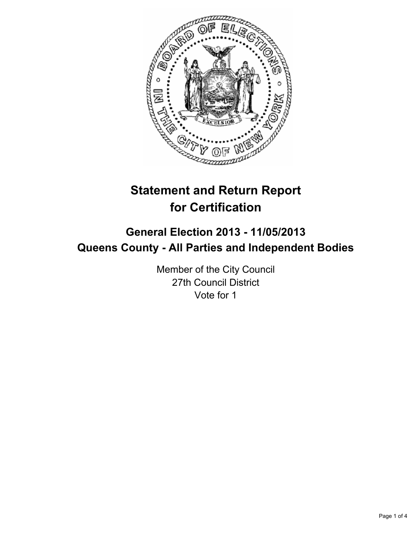

# **Statement and Return Report for Certification**

# **General Election 2013 - 11/05/2013 Queens County - All Parties and Independent Bodies**

Member of the City Council 27th Council District Vote for 1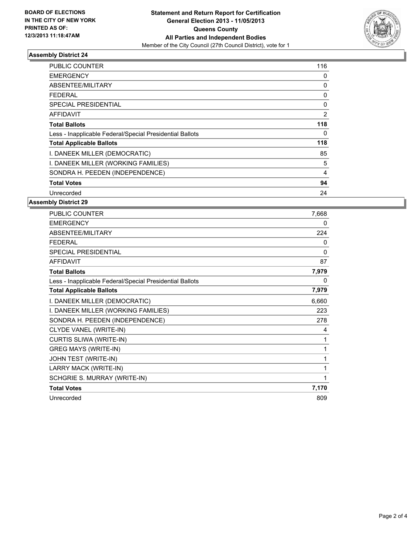

## **Assembly District 24**

| <b>PUBLIC COUNTER</b>                                    | 116 |
|----------------------------------------------------------|-----|
| <b>EMERGENCY</b>                                         | 0   |
| ABSENTEE/MILITARY                                        | 0   |
| FEDERAL                                                  | 0   |
| SPECIAL PRESIDENTIAL                                     | 0   |
| AFFIDAVIT                                                | 2   |
| <b>Total Ballots</b>                                     | 118 |
| Less - Inapplicable Federal/Special Presidential Ballots | 0   |
| <b>Total Applicable Ballots</b>                          | 118 |
| I. DANEEK MILLER (DEMOCRATIC)                            | 85  |
| I. DANEEK MILLER (WORKING FAMILIES)                      | 5   |
| SONDRA H. PEEDEN (INDEPENDENCE)                          | 4   |
| <b>Total Votes</b>                                       | 94  |
| Unrecorded                                               | 24  |

## **Assembly District 29**

| PUBLIC COUNTER                                           | 7,668 |
|----------------------------------------------------------|-------|
| <b>EMERGENCY</b>                                         | 0     |
| ABSENTEE/MILITARY                                        | 224   |
| <b>FEDERAL</b>                                           | 0     |
| <b>SPECIAL PRESIDENTIAL</b>                              | 0     |
| <b>AFFIDAVIT</b>                                         | 87    |
| <b>Total Ballots</b>                                     | 7,979 |
| Less - Inapplicable Federal/Special Presidential Ballots | 0     |
| <b>Total Applicable Ballots</b>                          | 7,979 |
| I. DANEEK MILLER (DEMOCRATIC)                            | 6,660 |
| I. DANEEK MILLER (WORKING FAMILIES)                      | 223   |
| SONDRA H. PEEDEN (INDEPENDENCE)                          | 278   |
| CLYDE VANEL (WRITE-IN)                                   | 4     |
| CURTIS SLIWA (WRITE-IN)                                  | 1     |
| <b>GREG MAYS (WRITE-IN)</b>                              | 1     |
| JOHN TEST (WRITE-IN)                                     | 1     |
| LARRY MACK (WRITE-IN)                                    | 1     |
| SCHGRIE S. MURRAY (WRITE-IN)                             | 1     |
| <b>Total Votes</b>                                       | 7,170 |
| Unrecorded                                               | 809   |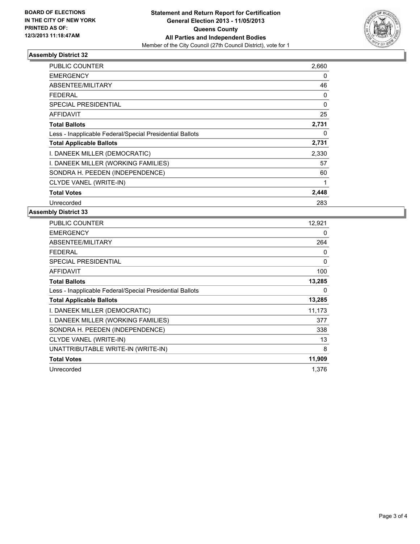

## **Assembly District 32**

| PUBLIC COUNTER                                           | 2,660    |
|----------------------------------------------------------|----------|
| <b>EMERGENCY</b>                                         | 0        |
| <b>ABSENTEE/MILITARY</b>                                 | 46       |
| FEDERAL                                                  | 0        |
| <b>SPECIAL PRESIDENTIAL</b>                              | $\Omega$ |
| AFFIDAVIT                                                | 25       |
| <b>Total Ballots</b>                                     | 2,731    |
| Less - Inapplicable Federal/Special Presidential Ballots | 0        |
| <b>Total Applicable Ballots</b>                          | 2,731    |
| I. DANEEK MILLER (DEMOCRATIC)                            | 2,330    |
| I. DANEEK MILLER (WORKING FAMILIES)                      | 57       |
| SONDRA H. PEEDEN (INDEPENDENCE)                          | 60       |
| CLYDE VANEL (WRITE-IN)                                   | 1        |
| <b>Total Votes</b>                                       | 2,448    |
| Unrecorded                                               | 283      |

#### **Assembly District 33**

| <b>PUBLIC COUNTER</b>                                    | 12,921 |
|----------------------------------------------------------|--------|
| <b>EMERGENCY</b>                                         | 0      |
| ABSENTEE/MILITARY                                        | 264    |
| FEDERAL                                                  | 0      |
| <b>SPECIAL PRESIDENTIAL</b>                              | 0      |
| AFFIDAVIT                                                | 100    |
| <b>Total Ballots</b>                                     | 13,285 |
| Less - Inapplicable Federal/Special Presidential Ballots | 0      |
| <b>Total Applicable Ballots</b>                          | 13,285 |
|                                                          |        |
| I. DANEEK MILLER (DEMOCRATIC)                            | 11,173 |
| I. DANEEK MILLER (WORKING FAMILIES)                      | 377    |
| SONDRA H. PEEDEN (INDEPENDENCE)                          | 338    |
| CLYDE VANEL (WRITE-IN)                                   | 13     |
| UNATTRIBUTABLE WRITE-IN (WRITE-IN)                       | 8      |
| <b>Total Votes</b>                                       | 11,909 |